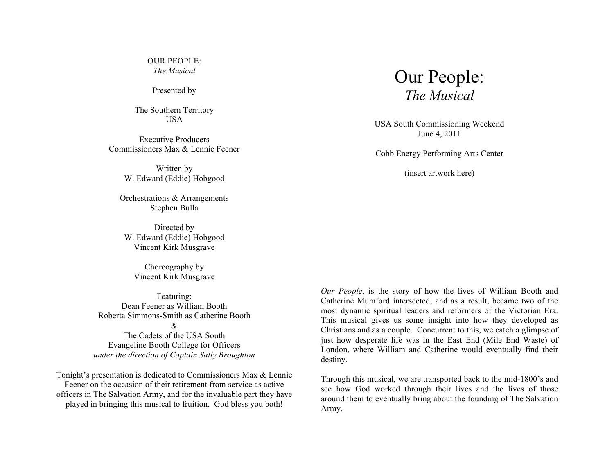OUR PEOPLE: *The Musical*

Presented by

The Southern Territory USA

Executive Producers Commissioners Max & Lennie Feener

> Written by W. Edward (Eddie) Hobgood

Orchestrations & Arrangements Stephen Bulla

Directed by W. Edward (Eddie) Hobgood Vincent Kirk Musgrave

Choreography by Vincent Kirk Musgrave

Featuring: Dean Feener as William Booth Roberta Simmons-Smith as Catherine Booth  $\mathcal{R}_{\mathcal{L}}$ 

The Cadets of the USA South Evangeline Booth College for Officers *under the direction of Captain Sally Broughton*

Tonight's presentation is dedicated to Commissioners Max & Lennie Feener on the occasion of their retirement from service as active officers in The Salvation Army, and for the invaluable part they have played in bringing this musical to fruition. God bless you both!



USA South Commissioning Weekend June 4, 2011

Cobb Energy Performing Arts Center

(insert artwork here)

*Our People*, is the story of how the lives of William Booth and Catherine Mumford intersected, and as a result, became two of the most dynamic spiritual leaders and reformers of the Victorian Era. This musical gives us some insight into how they developed as Christians and as a couple. Concurrent to this, we catch a glimpse of just how desperate life was in the East End (Mile End Waste) of London, where William and Catherine would eventually find their destiny.

Through this musical, we are transported back to the mid-1800's and see how God worked through their lives and the lives of those around them to eventually bring about the founding of The Salvation Army.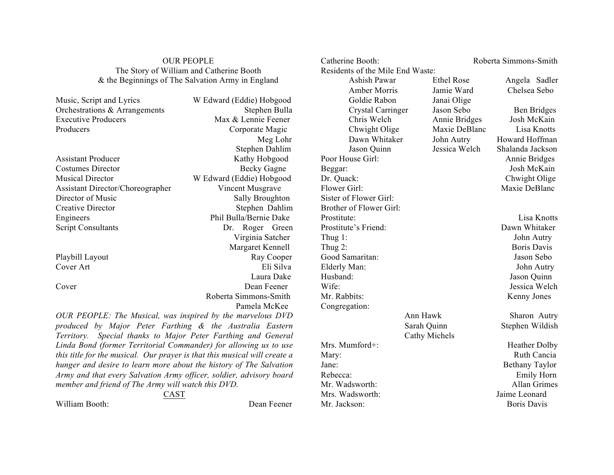# OUR PEOPLE The Story of William and Catherine Booth & the Beginnings of The Salvation Army in England

| Music, Script and Lyrics                                                  | W Edward (Eddie) Hobgood |
|---------------------------------------------------------------------------|--------------------------|
| Orchestrations & Arrangements                                             | Stephen Bulla            |
| <b>Executive Producers</b>                                                | Max & Lennie Feener      |
| Producers                                                                 | Corporate Magic          |
|                                                                           | Meg Lohr                 |
|                                                                           | Stephen Dahlim           |
| <b>Assistant Producer</b>                                                 | Kathy Hobgood            |
| Costumes Director                                                         | <b>Becky Gagne</b>       |
| <b>Musical Director</b>                                                   | W Edward (Eddie) Hobgood |
| Assistant Director/Choreographer                                          | Vincent Musgrave         |
| Director of Music                                                         | <b>Sally Broughton</b>   |
| <b>Creative Director</b>                                                  | Stephen Dahlim           |
| Engineers                                                                 | Phil Bulla/Bernie Dake   |
| <b>Script Consultants</b>                                                 | Roger Green<br>Dr.       |
|                                                                           | Virginia Satcher         |
|                                                                           | Margaret Kennell         |
| Playbill Layout                                                           | Ray Cooper               |
| Cover Art                                                                 | Eli Silva                |
|                                                                           | Laura Dake               |
| Cover                                                                     | Dean Feener              |
|                                                                           | Roberta Simmons-Smith    |
|                                                                           | Pamela McKee             |
| OUR PEOPLE: The Musical, was inspired by the marvelous DVD                |                          |
| produced by Major Peter Farthing & the Australia Eastern                  |                          |
| Special thanks to Major Peter Farthing and General<br><i>Territory.</i>   |                          |
| Linda Bond (former Territorial Commander) for allowing us to use          |                          |
| this title for the musical. Our prayer is that this musical will create a |                          |

*Army and that every Salvation Army officer, soldier, advisory board member and friend of The Army will watch this DVD.* 

*hunger and desire to learn more about the history of The Salvation* 

CAST

William Booth: Dean Feener

Catherine Booth: Roberta Simmons-Smith Residents of the Mile End Waste: Ashish Pawar Ethel Rose Angela Sadler Amber Morris Jamie Ward Chelsea Sebo Goldie Rabon Janai Olige Crystal Carringer Jason Sebo Ben Bridges Chris Welch Annie Bridges Josh McKain Chwight Olige Maxie DeBlanc Lisa Knotts Dawn Whitaker John Autry Howard Hoffman Jason Quinn Jessica Welch Shalanda Jackson Poor House Girl: Annie Bridges Beggar: Josh McKain Dr. Quack: Chwight Olige Flower Girl: Maxie DeBlanc Sister of Flower Girl: Brother of Flower Girl: Prostitute: Lisa Knotts Prostitute's Friend: Dawn Whitaker Thug 1: John Autry Thug 2: Boris Davis Good Samaritan: Jason Sebo Elderly Man: John Autry Husband: Jason Quinn Wife: Jessica Welch Mr. Rabbits: Kenny Jones Congregation: Cathy Michels

Mrs. Mumford+: Heather Dolby Mary: Ruth Cancia Jane: Bethany Taylor Rebecca: Emily Horn Mr. Wadsworth: Allan Grimes Mrs. Wadsworth: Jaime Leonard Mr. Jackson: Boris Davis

Ann Hawk Sharon Autry Sarah Quinn Stephen Wildish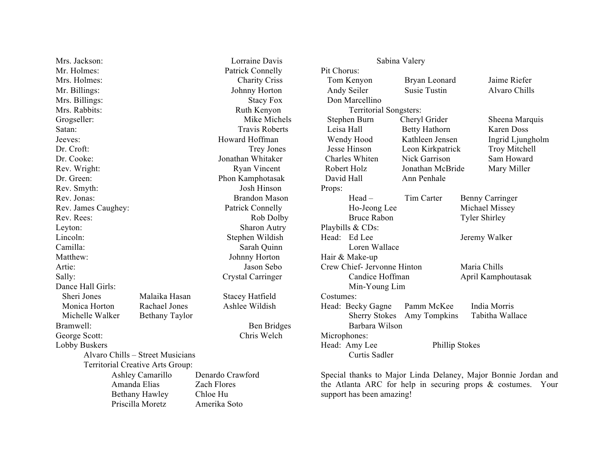Mrs. Jackson: Lorraine Davis Mr. Holmes: Patrick Connelly Mrs. Holmes: Charity Criss Mr. Billings: Johnny Horton Mrs. Billings: Stacy Fox Mrs. Rabbits: Ruth Kenyon Grogseller: Mike Michels Satan: Travis Roberts Jeeves: Howard Hoffman Dr. Croft: Trey Jones Dr. Cooke: Jonathan Whitaker Rev. Wright: Ryan Vincent Dr. Green: Phon Kamphotasak Rev. Smyth: Josh Hinson Rev. Jonas: Brandon Mason Rev. James Caughey: Patrick Connelly Rev. Rees: Rob Dolby Leyton: Sharon Autry Lincoln: Stephen Wildish Camilla: Sarah Quinn Matthew: Johnny Horton Artie: Jason Sebo Sally: Crystal Carringer Dance Hall Girls: Sheri Jones Malaika Hasan Stacey Hatfield Monica Horton Rachael Jones Ashlee Wildish Michelle Walker Bethany Taylor Bramwell: Ben Bridges George Scott: Chris Welch Lobby Buskers Alvaro Chills – Street Musicians Territorial Creative Arts Group: Amanda Elias Zach Flores Bethany Hawley Chloe Hu Priscilla Moretz Amerika Soto

Ashley Camarillo Denardo Crawford

Sabina Valery Pit Chorus: Tom Kenyon Bryan Leonard Jaime Riefer Andy Seiler Susie Tustin Alvaro Chills Don Marcellino Territorial Songsters: Stephen Burn Cheryl Grider Sheena Marquis Leisa Hall Betty Hathorn Karen Doss Wendy Hood Kathleen Jensen Ingrid Ljungholm Jesse Hinson Leon Kirkpatrick Troy Mitchell Charles Whiten Nick Garrison Sam Howard Robert Holz Jonathan McBride Mary Miller David Hall Ann Penhale Props: Head – Tim Carter Benny Carringer Ho-Jeong Lee Michael Missey Bruce Rabon Tyler Shirley Playbills & CDs: Head: Ed Lee Jeremy Walker Loren Wallace Hair & Make-up Crew Chief- Jervonne Hinton Maria Chills Candice Hoffman April Kamphoutasak Min-Young Lim Costumes: Head: Becky Gagne Pamm McKee India Morris Sherry Stokes Amy Tompkins Tabitha Wallace Barbara Wilson Microphones: Head: Amy Lee Phillip Stokes Curtis Sadler

Special thanks to Major Linda Delaney, Major Bonnie Jordan and the Atlanta ARC for help in securing props & costumes. Your support has been amazing!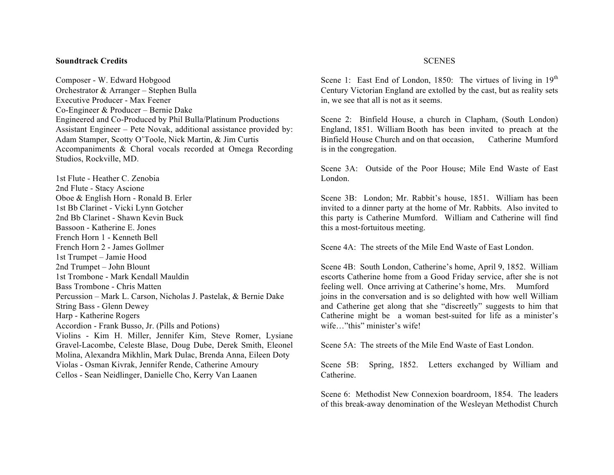#### **Soundtrack Credits**

Composer - W. Edward Hobgood Orchestrator & Arranger – Stephen Bulla Executive Producer - Max Feener Co-Engineer & Producer – Bernie Dake Engineered and Co-Produced by Phil Bulla/Platinum Productions Assistant Engineer – Pete Novak, additional assistance provided by: Adam Stamper, Scotty O'Toole, Nick Martin, & Jim Curtis Accompaniments & Choral vocals recorded at Omega Recording Studios, Rockville, MD.

1st Flute - Heather C. Zenobia 2nd Flute - Stacy Ascione Oboe & English Horn - Ronald B. Erler 1st Bb Clarinet - Vicki Lynn Gotcher 2nd Bb Clarinet - Shawn Kevin Buck Bassoon - Katherine E. Jones French Horn 1 - Kenneth Bell French Horn 2 - James Gollmer 1st Trumpet – Jamie Hood 2nd Trumpet – John Blount 1st Trombone - Mark Kendall Mauldin Bass Trombone - Chris Matten Percussion – Mark L. Carson, Nicholas J. Pastelak, & Bernie Dake String Bass - Glenn Dewey Harp - Katherine Rogers Accordion - Frank Busso, Jr. (Pills and Potions) Violins - Kim H. Miller, Jennifer Kim, Steve Romer, Lysiane Gravel-Lacombe, Celeste Blase, Doug Dube, Derek Smith, Eleonel Molina, Alexandra Mikhlin, Mark Dulac, Brenda Anna, Eileen Doty Violas - Osman Kivrak, Jennifer Rende, Catherine Amoury Cellos - Sean Neidlinger, Danielle Cho, Kerry Van Laanen

### **SCENES**

Scene 1: East End of London, 1850: The virtues of living in  $19<sup>th</sup>$ Century Victorian England are extolled by the cast, but as reality sets in, we see that all is not as it seems.

Scene 2: Binfield House, a church in Clapham, (South London) England, 1851. William Booth has been invited to preach at the Binfield House Church and on that occasion, Catherine Mumford is in the congregation.

Scene 3A: Outside of the Poor House; Mile End Waste of East London.

Scene 3B: London; Mr. Rabbit's house, 1851. William has been invited to a dinner party at the home of Mr. Rabbits. Also invited to this party is Catherine Mumford. William and Catherine will find this a most-fortuitous meeting.

Scene 4A: The streets of the Mile End Waste of East London.

Scene 4B: South London, Catherine's home, April 9, 1852. William escorts Catherine home from a Good Friday service, after she is not feeling well. Once arriving at Catherine's home, Mrs. Mumford joins in the conversation and is so delighted with how well William and Catherine get along that she "discreetly" suggests to him that Catherine might be a woman best-suited for life as a minister's wife…"this" minister's wife!

Scene 5A: The streets of the Mile End Waste of East London.

Scene 5B: Spring, 1852. Letters exchanged by William and Catherine.

Scene 6: Methodist New Connexion boardroom, 1854. The leaders of this break-away denomination of the Wesleyan Methodist Church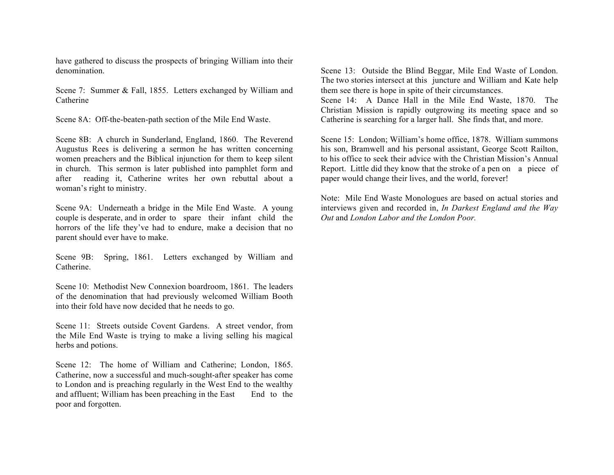have gathered to discuss the prospects of bringing William into their denomination.

Scene 7: Summer & Fall, 1855. Letters exchanged by William and Catherine

Scene 8A: Off-the-beaten-path section of the Mile End Waste.

Scene 8B: A church in Sunderland, England, 1860. The Reverend Augustus Rees is delivering a sermon he has written concerning women preachers and the Biblical injunction for them to keep silent in church. This sermon is later published into pamphlet form and after reading it, Catherine writes her own rebuttal about a woman's right to ministry.

Scene 9A: Underneath a bridge in the Mile End Waste. A young couple is desperate, and in order to spare their infant child the horrors of the life they've had to endure, make a decision that no parent should ever have to make.

Scene 9B: Spring, 1861. Letters exchanged by William and Catherine.

Scene 10: Methodist New Connexion boardroom, 1861. The leaders of the denomination that had previously welcomed William Booth into their fold have now decided that he needs to go.

Scene 11: Streets outside Covent Gardens. A street vendor, from the Mile End Waste is trying to make a living selling his magical herbs and potions.

Scene 12: The home of William and Catherine; London, 1865. Catherine, now a successful and much-sought-after speaker has come to London and is preaching regularly in the West End to the wealthy and affluent; William has been preaching in the East End to the poor and forgotten.

Scene 13: Outside the Blind Beggar, Mile End Waste of London. The two stories intersect at this juncture and William and Kate help them see there is hope in spite of their circumstances. Scene 14: A Dance Hall in the Mile End Waste, 1870. The

Christian Mission is rapidly outgrowing its meeting space and so Catherine is searching for a larger hall. She finds that, and more.

Scene 15: London; William's home office, 1878. William summons his son, Bramwell and his personal assistant, George Scott Railton, to his office to seek their advice with the Christian Mission's Annual Report. Little did they know that the stroke of a pen on a piece of paper would change their lives, and the world, forever!

Note: Mile End Waste Monologues are based on actual stories and interviews given and recorded in, *In Darkest England and the Way Out* and *London Labor and the London Poor.*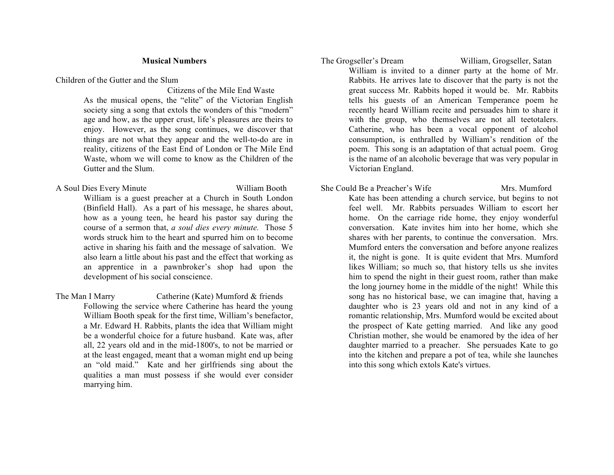## **Musical Numbers**

Children of the Gutter and the Slum

 Citizens of the Mile End Waste As the musical opens, the "elite" of the Victorian English society sing a song that extols the wonders of this "modern" age and how, as the upper crust, life's pleasures are theirs to enjoy. However, as the song continues, we discover that things are not what they appear and the well-to-do are in reality, citizens of the East End of London or The Mile End Waste, whom we will come to know as the Children of the Gutter and the Slum.

- A Soul Dies Every Minute William Booth William is a guest preacher at a Church in South London (Binfield Hall). As a part of his message, he shares about, how as a young teen, he heard his pastor say during the course of a sermon that, *a soul dies every minute.* Those 5 words struck him to the heart and spurred him on to become active in sharing his faith and the message of salvation. We also learn a little about his past and the effect that working as an apprentice in a pawnbroker's shop had upon the development of his social conscience.
- The Man I Marry Catherine (Kate) Mumford & friends Following the service where Catherine has heard the young William Booth speak for the first time, William's benefactor, a Mr. Edward H. Rabbits, plants the idea that William might be a wonderful choice for a future husband. Kate was, after all, 22 years old and in the mid-1800's, to not be married or at the least engaged, meant that a woman might end up being an "old maid." Kate and her girlfriends sing about the qualities a man must possess if she would ever consider marrying him.

The Grogseller's Dream William, Grogseller, Satan William is invited to a dinner party at the home of Mr. Rabbits. He arrives late to discover that the party is not the great success Mr. Rabbits hoped it would be. Mr. Rabbits tells his guests of an American Temperance poem he recently heard William recite and persuades him to share it with the group, who themselves are not all teetotalers. Catherine, who has been a vocal opponent of alcohol consumption, is enthralled by William's rendition of the poem. This song is an adaptation of that actual poem. Grog is the name of an alcoholic beverage that was very popular in Victorian England.

She Could Be a Preacher's Wife Mrs. Mumford Kate has been attending a church service, but begins to not feel well. Mr. Rabbits persuades William to escort her home. On the carriage ride home, they enjoy wonderful conversation. Kate invites him into her home, which she shares with her parents, to continue the conversation. Mrs. Mumford enters the conversation and before anyone realizes it, the night is gone. It is quite evident that Mrs. Mumford likes William; so much so, that history tells us she invites him to spend the night in their guest room, rather than make the long journey home in the middle of the night! While this song has no historical base, we can imagine that, having a daughter who is 23 years old and not in any kind of a romantic relationship, Mrs. Mumford would be excited about the prospect of Kate getting married. And like any good Christian mother, she would be enamored by the idea of her daughter married to a preacher. She persuades Kate to go into the kitchen and prepare a pot of tea, while she launches into this song which extols Kate's virtues.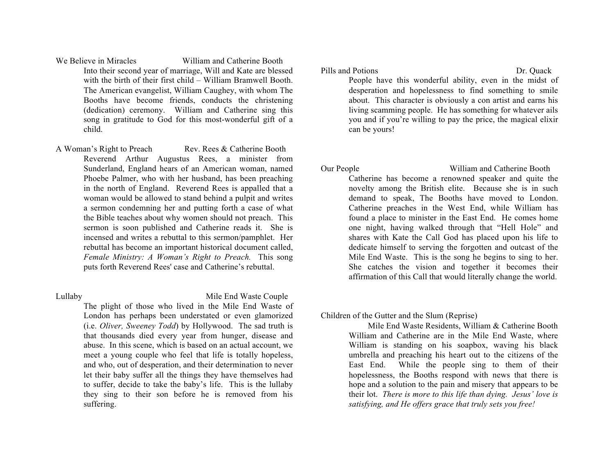We Believe in Miracles William and Catherine Booth Into their second year of marriage, Will and Kate are blessed with the birth of their first child – William Bramwell Booth. The American evangelist, William Caughey, with whom The Booths have become friends, conducts the christening (dedication) ceremony. William and Catherine sing this song in gratitude to God for this most-wonderful gift of a child.

A Woman's Right to Preach Rev. Rees & Catherine Booth Reverend Arthur Augustus Rees, a minister from Sunderland, England hears of an American woman, named Phoebe Palmer, who with her husband, has been preaching in the north of England. Reverend Rees is appalled that a woman would be allowed to stand behind a pulpit and writes a sermon condemning her and putting forth a case of what the Bible teaches about why women should not preach. This sermon is soon published and Catherine reads it. She is incensed and writes a rebuttal to this sermon/pamphlet. Her rebuttal has become an important historical document called, *Female Ministry: A Woman's Right to Preach.* This song puts forth Reverend Rees' case and Catherine's rebuttal.

Lullaby Mile End Waste Couple

The plight of those who lived in the Mile End Waste of London has perhaps been understated or even glamorized (i.e. *Oliver, Sweeney Todd*) by Hollywood. The sad truth is that thousands died every year from hunger, disease and abuse. In this scene, which is based on an actual account, we meet a young couple who feel that life is totally hopeless, and who, out of desperation, and their determination to never let their baby suffer all the things they have themselves had to suffer, decide to take the baby's life. This is the lullaby they sing to their son before he is removed from his suffering.

Pills and Potions Dr. Ouack

People have this wonderful ability, even in the midst of desperation and hopelessness to find something to smile about. This character is obviously a con artist and earns his living scamming people. He has something for whatever ails you and if you're willing to pay the price, the magical elixir can be yours!

Our People William and Catherine Booth

Catherine has become a renowned speaker and quite the novelty among the British elite. Because she is in such demand to speak, The Booths have moved to London. Catherine preaches in the West End, while William has found a place to minister in the East End. He comes home one night, having walked through that "Hell Hole" and shares with Kate the Call God has placed upon his life to dedicate himself to serving the forgotten and outcast of the Mile End Waste. This is the song he begins to sing to her. She catches the vision and together it becomes their affirmation of this Call that would literally change the world.

Children of the Gutter and the Slum (Reprise)

 Mile End Waste Residents, William & Catherine Booth William and Catherine are in the Mile End Waste, where William is standing on his soapbox, waving his black umbrella and preaching his heart out to the citizens of the East End. While the people sing to them of their hopelessness, the Booths respond with news that there is hope and a solution to the pain and misery that appears to be their lot. *There is more to this life than dying. Jesus' love is satisfying, and He offers grace that truly sets you free!*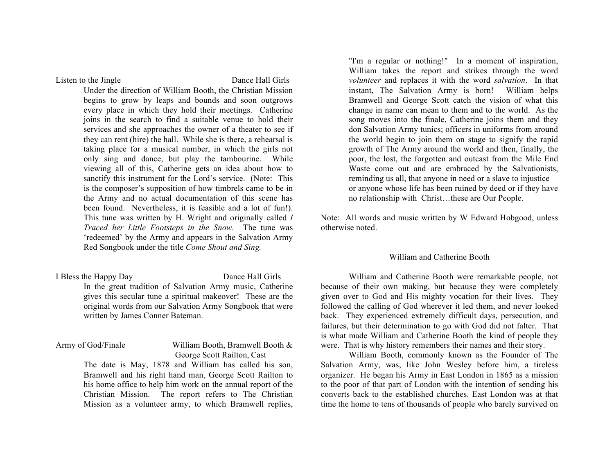Listen to the Jingle Dance Hall Girls

Under the direction of William Booth, the Christian Mission begins to grow by leaps and bounds and soon outgrows every place in which they hold their meetings. Catherine joins in the search to find a suitable venue to hold their services and she approaches the owner of a theater to see if they can rent (hire) the hall. While she is there, a rehearsal is taking place for a musical number, in which the girls not only sing and dance, but play the tambourine. While viewing all of this, Catherine gets an idea about how to sanctify this instrument for the Lord's service. (Note: This is the composer's supposition of how timbrels came to be in the Army and no actual documentation of this scene has been found. Nevertheless, it is feasible and a lot of fun!). This tune was written by H. Wright and originally called *I Traced her Little Footsteps in the Snow.* The tune was 'redeemed' by the Army and appears in the Salvation Army Red Songbook under the title *Come Shout and Sing.*

I Bless the Happy Day Dance Hall Girls In the great tradition of Salvation Army music, Catherine gives this secular tune a spiritual makeover! These are the original words from our Salvation Army Songbook that were written by James Conner Bateman.

# Army of God/Finale William Booth, Bramwell Booth & George Scott Railton, Cast

The date is May, 1878 and William has called his son, Bramwell and his right hand man, George Scott Railton to his home office to help him work on the annual report of the Christian Mission. The report refers to The Christian Mission as a volunteer army, to which Bramwell replies,

"I'm a regular or nothing!" In a moment of inspiration, William takes the report and strikes through the word *volunteer* and replaces it with the word *salvation*. In that instant, The Salvation Army is born! William helps Bramwell and George Scott catch the vision of what this change in name can mean to them and to the world. As the song moves into the finale, Catherine joins them and they don Salvation Army tunics; officers in uniforms from around the world begin to join them on stage to signify the rapid growth of The Army around the world and then, finally, the poor, the lost, the forgotten and outcast from the Mile End Waste come out and are embraced by the Salvationists, reminding us all, that anyone in need or a slave to injustice or anyone whose life has been ruined by deed or if they have no relationship with Christ…these are Our People.

Note: All words and music written by W Edward Hobgood, unless otherwise noted.

### William and Catherine Booth

William and Catherine Booth were remarkable people, not because of their own making, but because they were completely given over to God and His mighty vocation for their lives. They followed the calling of God wherever it led them, and never looked back. They experienced extremely difficult days, persecution, and failures, but their determination to go with God did not falter. That is what made William and Catherine Booth the kind of people they were. That is why history remembers their names and their story.

William Booth, commonly known as the Founder of The Salvation Army, was, like John Wesley before him, a tireless organizer. He began his Army in East London in 1865 as a mission to the poor of that part of London with the intention of sending his converts back to the established churches. East London was at that time the home to tens of thousands of people who barely survived on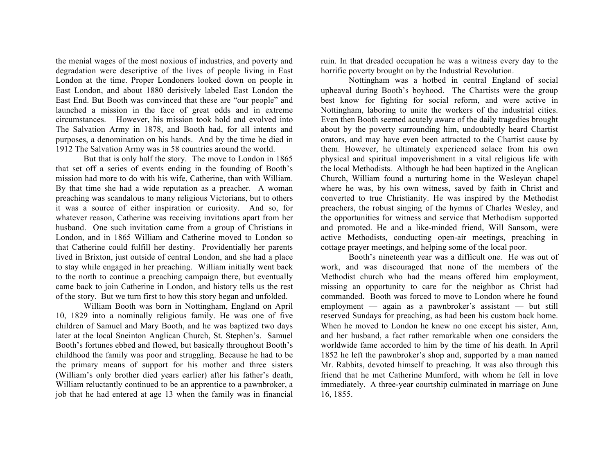the menial wages of the most noxious of industries, and poverty and degradation were descriptive of the lives of people living in East London at the time. Proper Londoners looked down on people in East London, and about 1880 derisively labeled East London the East End. But Booth was convinced that these are "our people" and launched a mission in the face of great odds and in extreme circumstances. However, his mission took hold and evolved into The Salvation Army in 1878, and Booth had, for all intents and purposes, a denomination on his hands. And by the time he died in 1912 The Salvation Army was in 58 countries around the world.

But that is only half the story. The move to London in 1865 that set off a series of events ending in the founding of Booth's mission had more to do with his wife, Catherine, than with William. By that time she had a wide reputation as a preacher. A woman preaching was scandalous to many religious Victorians, but to others it was a source of either inspiration or curiosity. And so, for whatever reason, Catherine was receiving invitations apart from her husband. One such invitation came from a group of Christians in London, and in 1865 William and Catherine moved to London so that Catherine could fulfill her destiny. Providentially her parents lived in Brixton, just outside of central London, and she had a place to stay while engaged in her preaching. William initially went back to the north to continue a preaching campaign there, but eventually came back to join Catherine in London, and history tells us the rest of the story. But we turn first to how this story began and unfolded.

William Booth was born in Nottingham, England on April 10, 1829 into a nominally religious family. He was one of five children of Samuel and Mary Booth, and he was baptized two days later at the local Sneinton Anglican Church, St. Stephen's. Samuel Booth's fortunes ebbed and flowed, but basically throughout Booth's childhood the family was poor and struggling. Because he had to be the primary means of support for his mother and three sisters (William's only brother died years earlier) after his father's death, William reluctantly continued to be an apprentice to a pawnbroker, a job that he had entered at age 13 when the family was in financial ruin. In that dreaded occupation he was a witness every day to the horrific poverty brought on by the Industrial Revolution.

Nottingham was a hotbed in central England of social upheaval during Booth's boyhood. The Chartists were the group best know for fighting for social reform, and were active in Nottingham, laboring to unite the workers of the industrial cities. Even then Booth seemed acutely aware of the daily tragedies brought about by the poverty surrounding him, undoubtedly heard Chartist orators, and may have even been attracted to the Chartist cause by them. However, he ultimately experienced solace from his own physical and spiritual impoverishment in a vital religious life with the local Methodists. Although he had been baptized in the Anglican Church, William found a nurturing home in the Wesleyan chapel where he was, by his own witness, saved by faith in Christ and converted to true Christianity. He was inspired by the Methodist preachers, the robust singing of the hymns of Charles Wesley, and the opportunities for witness and service that Methodism supported and promoted. He and a like-minded friend, Will Sansom, were active Methodists, conducting open-air meetings, preaching in cottage prayer meetings, and helping some of the local poor.

Booth's nineteenth year was a difficult one. He was out of work, and was discouraged that none of the members of the Methodist church who had the means offered him employment, missing an opportunity to care for the neighbor as Christ had commanded. Booth was forced to move to London where he found employment — again as a pawnbroker's assistant — but still reserved Sundays for preaching, as had been his custom back home. When he moved to London he knew no one except his sister, Ann, and her husband, a fact rather remarkable when one considers the worldwide fame accorded to him by the time of his death. In April 1852 he left the pawnbroker's shop and, supported by a man named Mr. Rabbits, devoted himself to preaching. It was also through this friend that he met Catherine Mumford, with whom he fell in love immediately. A three-year courtship culminated in marriage on June 16, 1855.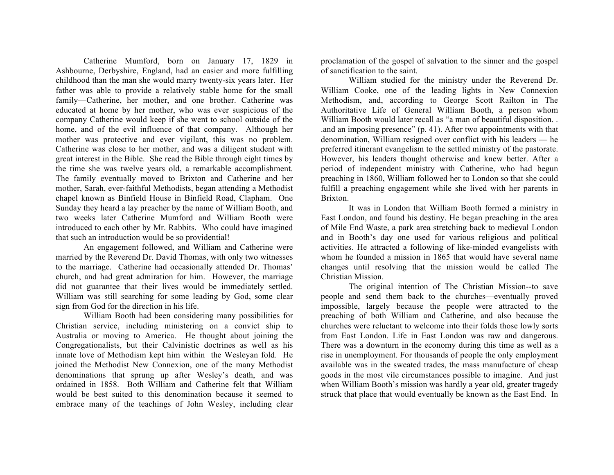Catherine Mumford, born on January 17, 1829 in Ashbourne, Derbyshire, England, had an easier and more fulfilling childhood than the man she would marry twenty-six years later. Her father was able to provide a relatively stable home for the small family—Catherine, her mother, and one brother. Catherine was educated at home by her mother, who was ever suspicious of the company Catherine would keep if she went to school outside of the home, and of the evil influence of that company. Although her mother was protective and ever vigilant, this was no problem. Catherine was close to her mother, and was a diligent student with great interest in the Bible. She read the Bible through eight times by the time she was twelve years old, a remarkable accomplishment. The family eventually moved to Brixton and Catherine and her mother, Sarah, ever-faithful Methodists, began attending a Methodist chapel known as Binfield House in Binfield Road, Clapham. One Sunday they heard a lay preacher by the name of William Booth, and two weeks later Catherine Mumford and William Booth were introduced to each other by Mr. Rabbits. Who could have imagined that such an introduction would be so providential!

An engagement followed, and William and Catherine were married by the Reverend Dr. David Thomas, with only two witnesses to the marriage. Catherine had occasionally attended Dr. Thomas' church, and had great admiration for him. However, the marriage did not guarantee that their lives would be immediately settled. William was still searching for some leading by God, some clear sign from God for the direction in his life.

William Booth had been considering many possibilities for Christian service, including ministering on a convict ship to Australia or moving to America. He thought about joining the Congregationalists, but their Calvinistic doctrines as well as his innate love of Methodism kept him within the Wesleyan fold. He joined the Methodist New Connexion, one of the many Methodist denominations that sprung up after Wesley's death, and was ordained in 1858. Both William and Catherine felt that William would be best suited to this denomination because it seemed to embrace many of the teachings of John Wesley, including clear

proclamation of the gospel of salvation to the sinner and the gospel of sanctification to the saint.

William studied for the ministry under the Reverend Dr. William Cooke, one of the leading lights in New Connexion Methodism, and, according to George Scott Railton in The Authoritative Life of General William Booth, a person whom William Booth would later recall as "a man of beautiful disposition. . .and an imposing presence" (p. 41). After two appointments with that denomination, William resigned over conflict with his leaders — he preferred itinerant evangelism to the settled ministry of the pastorate. However, his leaders thought otherwise and knew better. After a period of independent ministry with Catherine, who had begun preaching in 1860, William followed her to London so that she could fulfill a preaching engagement while she lived with her parents in Brixton.

It was in London that William Booth formed a ministry in East London, and found his destiny. He began preaching in the area of Mile End Waste, a park area stretching back to medieval London and in Booth's day one used for various religious and political activities. He attracted a following of like-minded evangelists with whom he founded a mission in 1865 that would have several name changes until resolving that the mission would be called The Christian Mission.

The original intention of The Christian Mission--to save people and send them back to the churches—eventually proved impossible, largely because the people were attracted to the preaching of both William and Catherine, and also because the churches were reluctant to welcome into their folds those lowly sorts from East London. Life in East London was raw and dangerous. There was a downturn in the economy during this time as well as a rise in unemployment. For thousands of people the only employment available was in the sweated trades, the mass manufacture of cheap goods in the most vile circumstances possible to imagine. And just when William Booth's mission was hardly a year old, greater tragedy struck that place that would eventually be known as the East End. In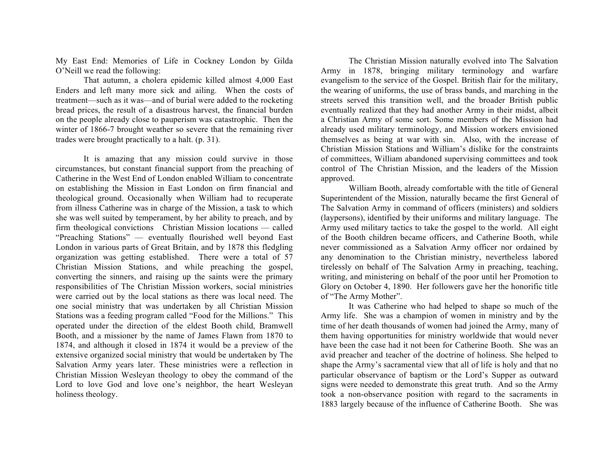My East End: Memories of Life in Cockney London by Gilda O'Neill we read the following:

That autumn, a cholera epidemic killed almost 4,000 East Enders and left many more sick and ailing. When the costs of treatment—such as it was—and of burial were added to the rocketing bread prices, the result of a disastrous harvest, the financial burden on the people already close to pauperism was catastrophic. Then the winter of 1866-7 brought weather so severe that the remaining river trades were brought practically to a halt. (p. 31).

It is amazing that any mission could survive in those circumstances, but constant financial support from the preaching of Catherine in the West End of London enabled William to concentrate on establishing the Mission in East London on firm financial and theological ground. Occasionally when William had to recuperate from illness Catherine was in charge of the Mission, a task to which she was well suited by temperament, by her ability to preach, and by firm theological convictions Christian Mission locations — called "Preaching Stations" — eventually flourished well beyond East London in various parts of Great Britain, and by 1878 this fledgling organization was getting established. There were a total of 57 Christian Mission Stations, and while preaching the gospel, converting the sinners, and raising up the saints were the primary responsibilities of The Christian Mission workers, social ministries were carried out by the local stations as there was local need. The one social ministry that was undertaken by all Christian Mission Stations was a feeding program called "Food for the Millions." This operated under the direction of the eldest Booth child, Bramwell Booth, and a missioner by the name of James Flawn from 1870 to 1874, and although it closed in 1874 it would be a preview of the extensive organized social ministry that would be undertaken by The Salvation Army years later. These ministries were a reflection in Christian Mission Wesleyan theology to obey the command of the Lord to love God and love one's neighbor, the heart Wesleyan holiness theology.

The Christian Mission naturally evolved into The Salvation Army in 1878, bringing military terminology and warfare evangelism to the service of the Gospel. British flair for the military, the wearing of uniforms, the use of brass bands, and marching in the streets served this transition well, and the broader British public eventually realized that they had another Army in their midst, albeit a Christian Army of some sort. Some members of the Mission had already used military terminology, and Mission workers envisioned themselves as being at war with sin. Also, with the increase of Christian Mission Stations and William's dislike for the constraints of committees, William abandoned supervising committees and took control of The Christian Mission, and the leaders of the Mission approved.

William Booth, already comfortable with the title of General Superintendent of the Mission, naturally became the first General of The Salvation Army in command of officers (ministers) and soldiers (laypersons), identified by their uniforms and military language. The Army used military tactics to take the gospel to the world. All eight of the Booth children became officers, and Catherine Booth, while never commissioned as a Salvation Army officer nor ordained by any denomination to the Christian ministry, nevertheless labored tirelessly on behalf of The Salvation Army in preaching, teaching, writing, and ministering on behalf of the poor until her Promotion to Glory on October 4, 1890. Her followers gave her the honorific title of "The Army Mother".

It was Catherine who had helped to shape so much of the Army life. She was a champion of women in ministry and by the time of her death thousands of women had joined the Army, many of them having opportunities for ministry worldwide that would never have been the case had it not been for Catherine Booth. She was an avid preacher and teacher of the doctrine of holiness. She helped to shape the Army's sacramental view that all of life is holy and that no particular observance of baptism or the Lord's Supper as outward signs were needed to demonstrate this great truth. And so the Army took a non-observance position with regard to the sacraments in 1883 largely because of the influence of Catherine Booth. She was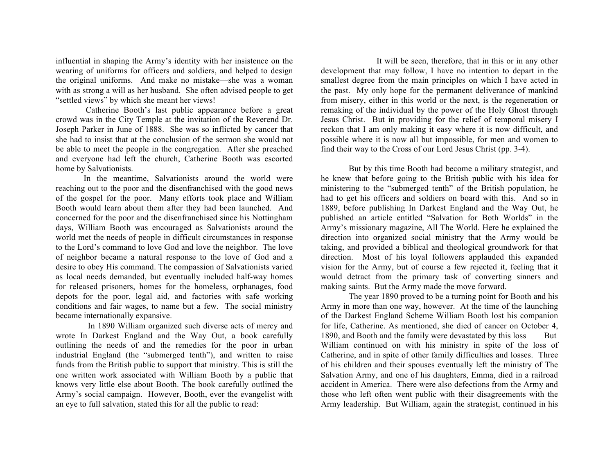influential in shaping the Army's identity with her insistence on the wearing of uniforms for officers and soldiers, and helped to design the original uniforms. And make no mistake—she was a woman with as strong a will as her husband. She often advised people to get "settled views" by which she meant her views!

Catherine Booth's last public appearance before a great crowd was in the City Temple at the invitation of the Reverend Dr. Joseph Parker in June of 1888. She was so inflicted by cancer that she had to insist that at the conclusion of the sermon she would not be able to meet the people in the congregation. After she preached and everyone had left the church, Catherine Booth was escorted home by Salvationists.

In the meantime, Salvationists around the world were reaching out to the poor and the disenfranchised with the good news of the gospel for the poor. Many efforts took place and William Booth would learn about them after they had been launched. And concerned for the poor and the disenfranchised since his Nottingham days, William Booth was encouraged as Salvationists around the world met the needs of people in difficult circumstances in response to the Lord's command to love God and love the neighbor. The love of neighbor became a natural response to the love of God and a desire to obey His command. The compassion of Salvationists varied as local needs demanded, but eventually included half-way homes for released prisoners, homes for the homeless, orphanages, food depots for the poor, legal aid, and factories with safe working conditions and fair wages, to name but a few. The social ministry became internationally expansive.

 In 1890 William organized such diverse acts of mercy and wrote In Darkest England and the Way Out, a book carefully outlining the needs of and the remedies for the poor in urban industrial England (the "submerged tenth"), and written to raise funds from the British public to support that ministry. This is still the one written work associated with William Booth by a public that knows very little else about Booth. The book carefully outlined the Army's social campaign. However, Booth, ever the evangelist with an eye to full salvation, stated this for all the public to read:

It will be seen, therefore, that in this or in any other development that may follow, I have no intention to depart in the smallest degree from the main principles on which I have acted in the past. My only hope for the permanent deliverance of mankind from misery, either in this world or the next, is the regeneration or remaking of the individual by the power of the Holy Ghost through Jesus Christ. But in providing for the relief of temporal misery I reckon that I am only making it easy where it is now difficult, and possible where it is now all but impossible, for men and women to find their way to the Cross of our Lord Jesus Christ (pp. 3-4).

But by this time Booth had become a military strategist, and he knew that before going to the British public with his idea for ministering to the "submerged tenth" of the British population, he had to get his officers and soldiers on board with this. And so in 1889, before publishing In Darkest England and the Way Out, he published an article entitled "Salvation for Both Worlds" in the Army's missionary magazine, All The World. Here he explained the direction into organized social ministry that the Army would be taking, and provided a biblical and theological groundwork for that direction. Most of his loyal followers applauded this expanded vision for the Army, but of course a few rejected it, feeling that it would detract from the primary task of converting sinners and making saints. But the Army made the move forward.

The year 1890 proved to be a turning point for Booth and his Army in more than one way, however. At the time of the launching of the Darkest England Scheme William Booth lost his companion for life, Catherine. As mentioned, she died of cancer on October 4, 1890, and Booth and the family were devastated by this loss But William continued on with his ministry in spite of the loss of Catherine, and in spite of other family difficulties and losses. Three of his children and their spouses eventually left the ministry of The Salvation Army, and one of his daughters, Emma, died in a railroad accident in America. There were also defections from the Army and those who left often went public with their disagreements with the Army leadership. But William, again the strategist, continued in his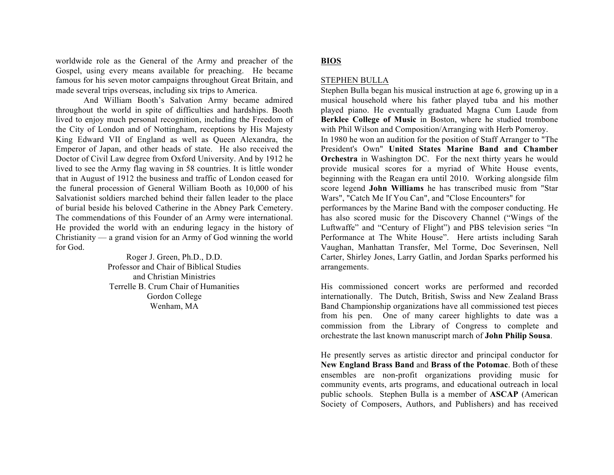worldwide role as the General of the Army and preacher of the Gospel, using every means available for preaching. He became famous for his seven motor campaigns throughout Great Britain, and made several trips overseas, including six trips to America.

And William Booth's Salvation Army became admired throughout the world in spite of difficulties and hardships. Booth lived to enjoy much personal recognition, including the Freedom of the City of London and of Nottingham, receptions by His Majesty King Edward VII of England as well as Queen Alexandra, the Emperor of Japan, and other heads of state. He also received the Doctor of Civil Law degree from Oxford University. And by 1912 he lived to see the Army flag waving in 58 countries. It is little wonder that in August of 1912 the business and traffic of London ceased for the funeral procession of General William Booth as 10,000 of his Salvationist soldiers marched behind their fallen leader to the place of burial beside his beloved Catherine in the Abney Park Cemetery. The commendations of this Founder of an Army were international. He provided the world with an enduring legacy in the history of Christianity — a grand vision for an Army of God winning the world for God.

> Roger J. Green, Ph.D., D.D. Professor and Chair of Biblical Studies and Christian Ministries Terrelle B. Crum Chair of Humanities Gordon College Wenham, MA

# **BIOS**

# STEPHEN BULLA

Stephen Bulla began his musical instruction at age 6, growing up in a musical household where his father played tuba and his mother played piano. He eventually graduated Magna Cum Laude from **Berklee College of Music** in Boston, where he studied trombone with Phil Wilson and Composition/Arranging with Herb Pomeroy. In 1980 he won an audition for the position of Staff Arranger to "The President's Own" **United States Marine Band and Chamber Orchestra** in Washington DC. For the next thirty years he would provide musical scores for a myriad of White House events, beginning with the Reagan era until 2010. Working alongside film score legend **John Williams** he has transcribed music from "Star Wars", "Catch Me If You Can", and "Close Encounters" for performances by the Marine Band with the composer conducting. He

has also scored music for the Discovery Channel ("Wings of the Luftwaffe" and "Century of Flight") and PBS television series "In Performance at The White House". Here artists including Sarah Vaughan, Manhattan Transfer, Mel Torme, Doc Severinsen, Nell Carter, Shirley Jones, Larry Gatlin, and Jordan Sparks performed his arrangements.

His commissioned concert works are performed and recorded internationally. The Dutch, British, Swiss and New Zealand Brass Band Championship organizations have all commissioned test pieces from his pen. One of many career highlights to date was a commission from the Library of Congress to complete and orchestrate the last known manuscript march of **John Philip Sousa**.

He presently serves as artistic director and principal conductor for **New England Brass Band** and **Brass of the Potomac**. Both of these ensembles are non-profit organizations providing music for community events, arts programs, and educational outreach in local public schools.Stephen Bulla is a member of **ASCAP** (American Society of Composers, Authors, and Publishers) and has received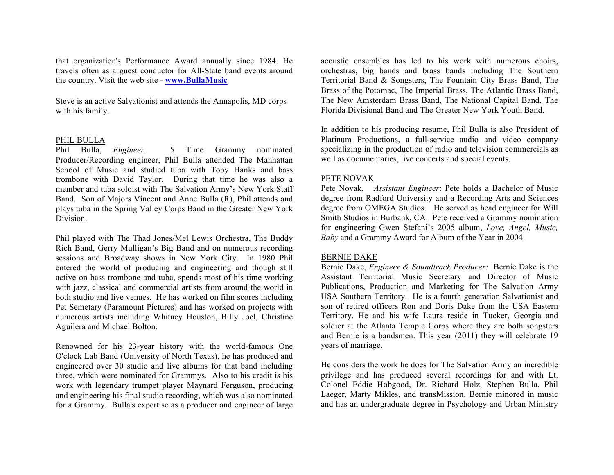that organization's Performance Award annually since 1984. He travels often as a guest conductor for All-State band events around the country. Visit the web site - **www.BullaMusic**

Steve is an active Salvationist and attends the Annapolis, MD corps with his family.

# PHIL BULLA

Phil Bulla, *Engineer:* 5 Time Grammy nominated Producer/Recording engineer, Phil Bulla attended The Manhattan School of Music and studied tuba with Toby Hanks and bass trombone with David Taylor. During that time he was also a member and tuba soloist with The Salvation Army's New York Staff Band. Son of Majors Vincent and Anne Bulla (R), Phil attends and plays tuba in the Spring Valley Corps Band in the Greater New York Division.

Phil played with The Thad Jones/Mel Lewis Orchestra, The Buddy Rich Band, Gerry Mulligan's Big Band and on numerous recording sessions and Broadway shows in New York City. In 1980 Phil entered the world of producing and engineering and though still active on bass trombone and tuba, spends most of his time working with jazz, classical and commercial artists from around the world in both studio and live venues. He has worked on film scores including Pet Semetary (Paramount Pictures) and has worked on projects with numerous artists including Whitney Houston, Billy Joel, Christine Aguilera and Michael Bolton.

Renowned for his 23-year history with the world-famous One O'clock Lab Band (University of North Texas), he has produced and engineered over 30 studio and live albums for that band including three, which were nominated for Grammys. Also to his credit is his work with legendary trumpet player Maynard Ferguson, producing and engineering his final studio recording, which was also nominated for a Grammy. Bulla's expertise as a producer and engineer of large

acoustic ensembles has led to his work with numerous choirs, orchestras, big bands and brass bands including The Southern Territorial Band & Songsters, The Fountain City Brass Band, The Brass of the Potomac, The Imperial Brass, The Atlantic Brass Band, The New Amsterdam Brass Band, The National Capital Band, The Florida Divisional Band and The Greater New York Youth Band.

In addition to his producing resume, Phil Bulla is also President of Platinum Productions, a full-service audio and video company specializing in the production of radio and television commercials as well as documentaries, live concerts and special events.

### PETE NOVAK

Pete Novak, *Assistant Engineer*: Pete holds a Bachelor of Music degree from Radford University and a Recording Arts and Sciences degree from OMEGA Studios. He served as head engineer for Will Smith Studios in Burbank, CA. Pete received a Grammy nomination for engineering Gwen Stefani's 2005 album, *Love, Angel, Music, Baby* and a Grammy Award for Album of the Year in 2004.

#### BERNIE DAKE

Bernie Dake, *Engineer & Soundtrack Producer:* Bernie Dake is the Assistant Territorial Music Secretary and Director of Music Publications, Production and Marketing for The Salvation Army USA Southern Territory. He is a fourth generation Salvationist and son of retired officers Ron and Doris Dake from the USA Eastern Territory. He and his wife Laura reside in Tucker, Georgia and soldier at the Atlanta Temple Corps where they are both songsters and Bernie is a bandsmen. This year (2011) they will celebrate 19 years of marriage.

He considers the work he does for The Salvation Army an incredible privilege and has produced several recordings for and with Lt. Colonel Eddie Hobgood, Dr. Richard Holz, Stephen Bulla, Phil Laeger, Marty Mikles, and transMission. Bernie minored in music and has an undergraduate degree in Psychology and Urban Ministry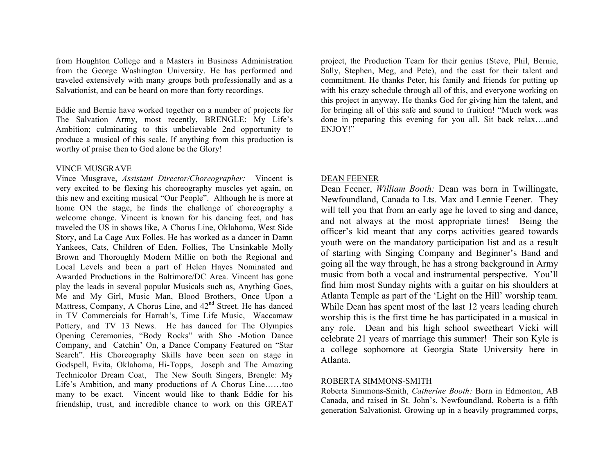from Houghton College and a Masters in Business Administration from the George Washington University. He has performed and traveled extensively with many groups both professionally and as a Salvationist, and can be heard on more than forty recordings.

Eddie and Bernie have worked together on a number of projects for The Salvation Army, most recently, BRENGLE: My Life's Ambition; culminating to this unbelievable 2nd opportunity to produce a musical of this scale. If anything from this production is worthy of praise then to God alone be the Glory!

# VINCE MUSGRAVE

Vince Musgrave, *Assistant Director/Choreographer:* Vincent is very excited to be flexing his choreography muscles yet again, on this new and exciting musical "Our People". Although he is more at home ON the stage, he finds the challenge of choreography a welcome change. Vincent is known for his dancing feet, and has traveled the US in shows like, A Chorus Line, Oklahoma, West Side Story, and La Cage Aux Folles. He has worked as a dancer in Damn Yankees, Cats, Children of Eden, Follies, The Unsinkable Molly Brown and Thoroughly Modern Millie on both the Regional and Local Levels and been a part of Helen Hayes Nominated and Awarded Productions in the Baltimore/DC Area. Vincent has gone play the leads in several popular Musicals such as, Anything Goes, Me and My Girl, Music Man, Blood Brothers, Once Upon a Mattress, Company, A Chorus Line, and  $42<sup>nd</sup>$  Street. He has danced in TV Commercials for Harrah's, Time Life Music, Waccamaw Pottery, and TV 13 News. He has danced for The Olympics Opening Ceremonies, "Body Rocks" with Sho -Motion Dance Company, and Catchin' On, a Dance Company Featured on "Star Search". His Choreography Skills have been seen on stage in Godspell, Evita, Oklahoma, Hi-Topps, Joseph and The Amazing Technicolor Dream Coat, The New South Singers, Brengle: My Life's Ambition, and many productions of A Chorus Line……too many to be exact. Vincent would like to thank Eddie for his friendship, trust, and incredible chance to work on this GREAT

project, the Production Team for their genius (Steve, Phil, Bernie, Sally, Stephen, Meg, and Pete), and the cast for their talent and commitment. He thanks Peter, his family and friends for putting up with his crazy schedule through all of this, and everyone working on this project in anyway. He thanks God for giving him the talent, and for bringing all of this safe and sound to fruition! "Much work was done in preparing this evening for you all. Sit back relax….and ENJOY!"

## DEAN FEENER

Dean Feener, *William Booth:* Dean was born in Twillingate, Newfoundland, Canada to Lts. Max and Lennie Feener. They will tell you that from an early age he loved to sing and dance, and not always at the most appropriate times! Being the officer's kid meant that any corps activities geared towards youth were on the mandatory participation list and as a result of starting with Singing Company and Beginner's Band and going all the way through, he has a strong background in Army music from both a vocal and instrumental perspective. You'll find him most Sunday nights with a guitar on his shoulders at Atlanta Temple as part of the 'Light on the Hill' worship team. While Dean has spent most of the last 12 years leading church worship this is the first time he has participated in a musical in any role. Dean and his high school sweetheart Vicki will celebrate 21 years of marriage this summer! Their son Kyle is a college sophomore at Georgia State University here in Atlanta.

## ROBERTA SIMMONS-SMITH

Roberta Simmons-Smith, *Catherine Booth:* Born in Edmonton, AB Canada, and raised in St. John's, Newfoundland, Roberta is a fifth generation Salvationist. Growing up in a heavily programmed corps,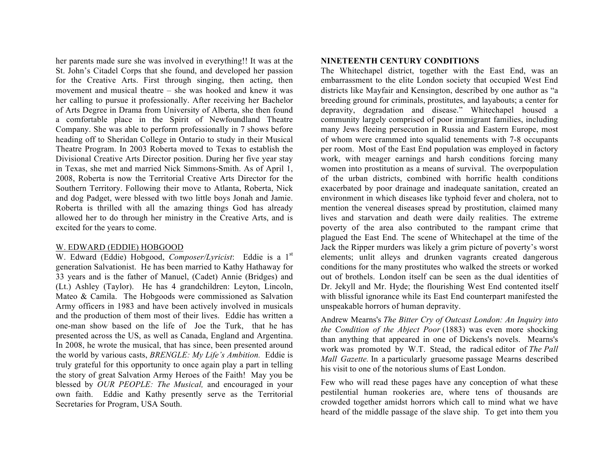her parents made sure she was involved in everything!! It was at the St. John's Citadel Corps that she found, and developed her passion for the Creative Arts. First through singing, then acting, then movement and musical theatre – she was hooked and knew it was her calling to pursue it professionally. After receiving her Bachelor of Arts Degree in Drama from University of Alberta, she then found a comfortable place in the Spirit of Newfoundland Theatre Company. She was able to perform professionally in 7 shows before heading off to Sheridan College in Ontario to study in their Musical Theatre Program. In 2003 Roberta moved to Texas to establish the Divisional Creative Arts Director position. During her five year stay in Texas, she met and married Nick Simmons-Smith. As of April 1, 2008, Roberta is now the Territorial Creative Arts Director for the Southern Territory. Following their move to Atlanta, Roberta, Nick and dog Padget, were blessed with two little boys Jonah and Jamie. Roberta is thrilled with all the amazing things God has already allowed her to do through her ministry in the Creative Arts, and is excited for the years to come.

### W. EDWARD (EDDIE) HOBGOOD

W. Edward (Eddie) Hobgood, *Composer/Lyricist*: Eddie is a 1<sup>st</sup> generation Salvationist. He has been married to Kathy Hathaway for 33 years and is the father of Manuel, (Cadet) Annie (Bridges) and (Lt.) Ashley (Taylor). He has 4 grandchildren: Leyton, Lincoln, Mateo & Camila. The Hobgoods were commissioned as Salvation Army officers in 1983 and have been actively involved in musicals and the production of them most of their lives. Eddie has written a one-man show based on the life of Joe the Turk, that he has presented across the US, as well as Canada, England and Argentina. In 2008, he wrote the musical, that has since, been presented around the world by various casts, *BRENGLE: My Life's Ambition.* Eddie is truly grateful for this opportunity to once again play a part in telling the story of great Salvation Army Heroes of the Faith! May you be blessed by *OUR PEOPLE: The Musical,* and encouraged in your own faith. Eddie and Kathy presently serve as the Territorial Secretaries for Program, USA South.

# **NINETEENTH CENTURY CONDITIONS**

The Whitechapel district, together with the East End, was an embarrassment to the elite London society that occupied West End districts like Mayfair and Kensington, described by one author as "a breeding ground for criminals, prostitutes, and layabouts; a center for depravity, degradation and disease." Whitechapel housed a community largely comprised of poor immigrant families, including many Jews fleeing persecution in Russia and Eastern Europe, most of whom were crammed into squalid tenements with 7-8 occupants per room. Most of the East End population was employed in factory work, with meager earnings and harsh conditions forcing many women into prostitution as a means of survival. The overpopulation of the urban districts, combined with horrific health conditions exacerbated by poor drainage and inadequate sanitation, created an environment in which diseases like typhoid fever and cholera, not to mention the venereal diseases spread by prostitution, claimed many lives and starvation and death were daily realities. The extreme poverty of the area also contributed to the rampant crime that plagued the East End. The scene of Whitechapel at the time of the Jack the Ripper murders was likely a grim picture of poverty's worst elements; unlit alleys and drunken vagrants created dangerous conditions for the many prostitutes who walked the streets or worked out of brothels. London itself can be seen as the dual identities of Dr. Jekyll and Mr. Hyde; the flourishing West End contented itself with blissful ignorance while its East End counterpart manifested the unspeakable horrors of human depravity.

Andrew Mearns's *The Bitter Cry of Outcast London: An Inquiry into the Condition of the Abject Poor* (1883) was even more shocking than anything that appeared in one of Dickens's novels. Mearns's work was promoted by W.T. Stead, the radical editor of *The Pall Mall Gazette.* In a particularly gruesome passage Mearns described his visit to one of the notorious slums of East London.

Few who will read these pages have any conception of what these pestilential human rookeries are, where tens of thousands are crowded together amidst horrors which call to mind what we have heard of the middle passage of the slave ship. To get into them you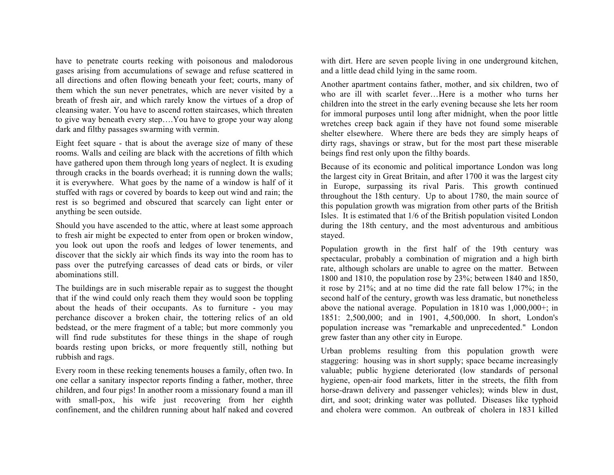have to penetrate courts reeking with poisonous and malodorous gases arising from accumulations of sewage and refuse scattered in all directions and often flowing beneath your feet; courts, many of them which the sun never penetrates, which are never visited by a breath of fresh air, and which rarely know the virtues of a drop of cleansing water. You have to ascend rotten staircases, which threaten to give way beneath every step….You have to grope your way along dark and filthy passages swarming with vermin.

Eight feet square - that is about the average size of many of these rooms. Walls and ceiling are black with the accretions of filth which have gathered upon them through long years of neglect. It is exuding through cracks in the boards overhead; it is running down the walls; it is everywhere. What goes by the name of a window is half of it stuffed with rags or covered by boards to keep out wind and rain; the rest is so begrimed and obscured that scarcely can light enter or anything be seen outside.

Should you have ascended to the attic, where at least some approach to fresh air might be expected to enter from open or broken window, you look out upon the roofs and ledges of lower tenements, and discover that the sickly air which finds its way into the room has to pass over the putrefying carcasses of dead cats or birds, or viler abominations still.

The buildings are in such miserable repair as to suggest the thought that if the wind could only reach them they would soon be toppling about the heads of their occupants. As to furniture - you may perchance discover a broken chair, the tottering relics of an old bedstead, or the mere fragment of a table; but more commonly you will find rude substitutes for these things in the shape of rough boards resting upon bricks, or more frequently still, nothing but rubbish and rags.

Every room in these reeking tenements houses a family, often two. In one cellar a sanitary inspector reports finding a father, mother, three children, and four pigs! In another room a missionary found a man ill with small-pox, his wife just recovering from her eighth confinement, and the children running about half naked and covered

with dirt. Here are seven people living in one underground kitchen, and a little dead child lying in the same room.

Another apartment contains father, mother, and six children, two of who are ill with scarlet fever…Here is a mother who turns her children into the street in the early evening because she lets her room for immoral purposes until long after midnight, when the poor little wretches creep back again if they have not found some miserable shelter elsewhere. Where there are beds they are simply heaps of dirty rags, shavings or straw, but for the most part these miserable beings find rest only upon the filthy boards.

Because of its economic and political importance London was long the largest city in Great Britain, and after 1700 it was the largest city in Europe, surpassing its rival Paris. This growth continued throughout the 18th century. Up to about 1780, the main source of this population growth was migration from other parts of the British Isles. It is estimated that 1/6 of the British population visited London during the 18th century, and the most adventurous and ambitious stayed.

Population growth in the first half of the 19th century was spectacular, probably a combination of migration and a high birth rate, although scholars are unable to agree on the matter. Between 1800 and 1810, the population rose by 23%; between 1840 and 1850, it rose by 21%; and at no time did the rate fall below 17%; in the second half of the century, growth was less dramatic, but nonetheless above the national average. Population in 1810 was 1,000,000+; in 1851: 2,500,000; and in 1901, 4,500,000. In short, London's population increase was "remarkable and unprecedented." London grew faster than any other city in Europe.

Urban problems resulting from this population growth were staggering: housing was in short supply; space became increasingly valuable; public hygiene deteriorated (low standards of personal hygiene, open-air food markets, litter in the streets, the filth from horse-drawn delivery and passenger vehicles); winds blew in dust, dirt, and soot; drinking water was polluted. Diseases like typhoid and cholera were common. An outbreak of cholera in 1831 killed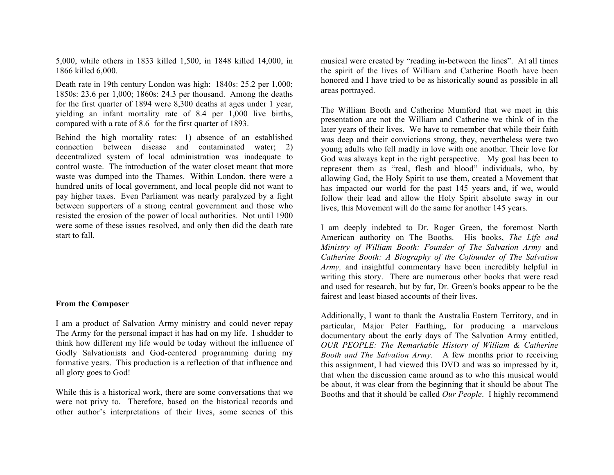5,000, while others in 1833 killed 1,500, in 1848 killed 14,000, in 1866 killed 6,000.

Death rate in 19th century London was high: 1840s: 25.2 per 1,000; 1850s: 23.6 per 1,000; 1860s: 24.3 per thousand. Among the deaths for the first quarter of 1894 were 8,300 deaths at ages under 1 year, yielding an infant mortality rate of 8.4 per 1,000 live births, compared with a rate of 8.6 for the first quarter of 1893.

Behind the high mortality rates: 1) absence of an established connection between disease and contaminated water; 2) decentralized system of local administration was inadequate to control waste. The introduction of the water closet meant that more waste was dumped into the Thames. Within London, there were a hundred units of local government, and local people did not want to pay higher taxes. Even Parliament was nearly paralyzed by a fight between supporters of a strong central government and those who resisted the erosion of the power of local authorities. Not until 1900 were some of these issues resolved, and only then did the death rate start to fall.

#### **From the Composer**

I am a product of Salvation Army ministry and could never repay The Army for the personal impact it has had on my life. I shudder to think how different my life would be today without the influence of Godly Salvationists and God-centered programming during my formative years. This production is a reflection of that influence and all glory goes to God!

While this is a historical work, there are some conversations that we were not privy to. Therefore, based on the historical records and other author's interpretations of their lives, some scenes of this musical were created by "reading in-between the lines". At all times the spirit of the lives of William and Catherine Booth have been honored and I have tried to be as historically sound as possible in all areas portrayed.

The William Booth and Catherine Mumford that we meet in this presentation are not the William and Catherine we think of in the later years of their lives. We have to remember that while their faith was deep and their convictions strong, they, nevertheless were two young adults who fell madly in love with one another. Their love for God was always kept in the right perspective. My goal has been to represent them as "real, flesh and blood" individuals, who, by allowing God, the Holy Spirit to use them, created a Movement that has impacted our world for the past 145 years and, if we, would follow their lead and allow the Holy Spirit absolute sway in our lives, this Movement will do the same for another 145 years.

I am deeply indebted to Dr. Roger Green, the foremost North American authority on The Booths. His books, *The Life and Ministry of William Booth: Founder of The Salvation Army* and *Catherine Booth: A Biography of the Cofounder of The Salvation Army,* and insightful commentary have been incredibly helpful in writing this story. There are numerous other books that were read and used for research, but by far, Dr. Green's books appear to be the fairest and least biased accounts of their lives.

Additionally, I want to thank the Australia Eastern Territory, and in particular, Major Peter Farthing, for producing a marvelous documentary about the early days of The Salvation Army entitled, *OUR PEOPLE: The Remarkable History of William & Catherine Booth and The Salvation Army.* A few months prior to receiving this assignment, I had viewed this DVD and was so impressed by it, that when the discussion came around as to who this musical would be about, it was clear from the beginning that it should be about The Booths and that it should be called *Our People*. I highly recommend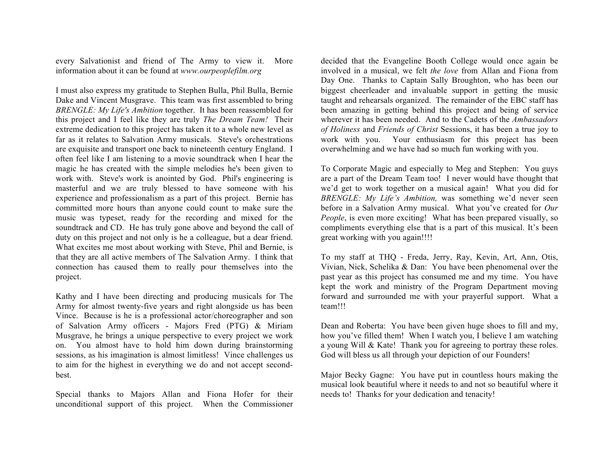every Salvationist and friend of The Army to view it. More information about it can be found at *www.ourpeoplefilm.org*

I must also express my gratitude to Stephen Bulla, Phil Bulla, Bernie Dake and Vincent Musgrave. This team was first assembled to bring *BRENGLE: My Life's Ambition* together. It has been reassembled for this project and I feel like they are truly *The Dream Team!* Their extreme dedication to this project has taken it to a whole new level as far as it relates to Salvation Army musicals. Steve's orchestrations are exquisite and transport one back to nineteenth century England. I often feel like I am listening to a movie soundtrack when I hear the magic he has created with the simple melodies he's been given to work with. Steve's work is anointed by God. Phil's engineering is masterful and we are truly blessed to have someone with his experience and professionalism as a part of this project. Bernie has committed more hours than anyone could count to make sure the music was typeset, ready for the recording and mixed for the soundtrack and CD. He has truly gone above and beyond the call of duty on this project and not only is he a colleague, but a dear friend. What excites me most about working with Steve, Phil and Bernie, is that they are all active members of The Salvation Army. I think that connection has caused them to really pour themselves into the project.

Kathy and I have been directing and producing musicals for The Army for almost twenty-five years and right alongside us has been Vince. Because is he is a professional actor/choreographer and son of Salvation Army officers - Majors Fred (PTG) & Miriam Musgrave, he brings a unique perspective to every project we work on. You almost have to hold him down during brainstorming sessions, as his imagination is almost limitless! Vince challenges us to aim for the highest in everything we do and not accept secondbest.

Special thanks to Majors Allan and Fiona Hofer for their unconditional support of this project. When the Commissioner decided that the Evangeline Booth College would once again be involved in a musical, we felt *the love* from Allan and Fiona from Day One. Thanks to Captain Sally Broughton, who has been our biggest cheerleader and invaluable support in getting the music taught and rehearsals organized. The remainder of the EBC staff has been amazing in getting behind this project and being of service wherever it has been needed. And to the Cadets of the *Ambassadors of Holiness* and *Friends of Christ* Sessions, it has been a true joy to work with you. Your enthusiasm for this project has been overwhelming and we have had so much fun working with you.

To Corporate Magic and especially to Meg and Stephen: You guys are a part of the Dream Team too! I never would have thought that we'd get to work together on a musical again! What you did for *BRENGLE: My Life's Ambition,* was something we'd never seen before in a Salvation Army musical. What you've created for *Our People*, is even more exciting! What has been prepared visually, so compliments everything else that is a part of this musical. It's been great working with you again!!!!

To my staff at THQ - Freda, Jerry, Ray, Kevin, Art, Ann, Otis, Vivian, Nick, Schelika & Dan: You have been phenomenal over the past year as this project has consumed me and my time. You have kept the work and ministry of the Program Department moving forward and surrounded me with your prayerful support. What a team!!!

Dean and Roberta: You have been given huge shoes to fill and my, how you've filled them! When I watch you, I believe I am watching a young Will & Kate! Thank you for agreeing to portray these roles. God will bless us all through your depiction of our Founders!

Major Becky Gagne: You have put in countless hours making the musical look beautiful where it needs to and not so beautiful where it needs to! Thanks for your dedication and tenacity!